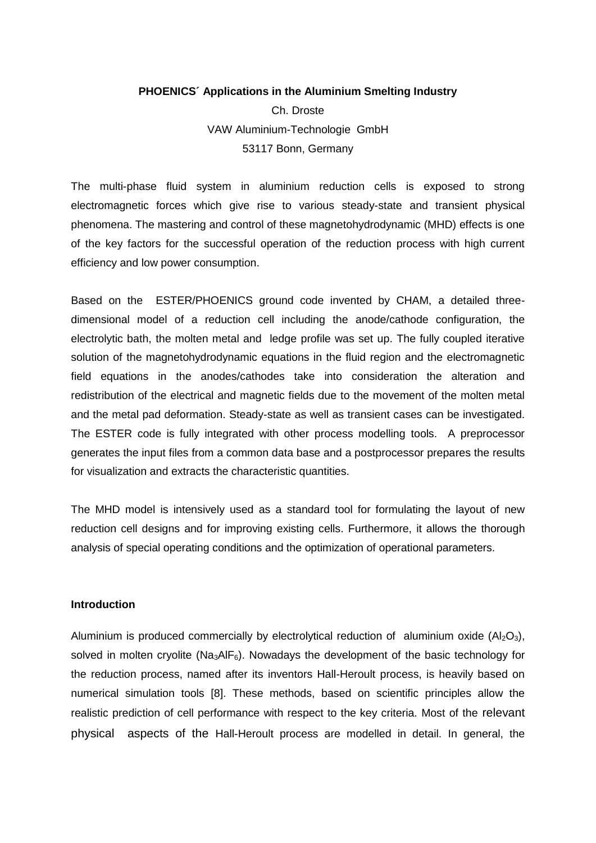#### **PHOENICS´ Applications in the Aluminium Smelting Industry**

Ch. Droste VAW Aluminium-Technologie GmbH 53117 Bonn, Germany

The multi-phase fluid system in aluminium reduction cells is exposed to strong electromagnetic forces which give rise to various steady-state and transient physical phenomena. The mastering and control of these magnetohydrodynamic (MHD) effects is one of the key factors for the successful operation of the reduction process with high current efficiency and low power consumption.

Based on the ESTER/PHOENICS ground code invented by CHAM, a detailed threedimensional model of a reduction cell including the anode/cathode configuration, the electrolytic bath, the molten metal and ledge profile was set up. The fully coupled iterative solution of the magnetohydrodynamic equations in the fluid region and the electromagnetic field equations in the anodes/cathodes take into consideration the alteration and redistribution of the electrical and magnetic fields due to the movement of the molten metal and the metal pad deformation. Steady-state as well as transient cases can be investigated. The ESTER code is fully integrated with other process modelling tools. A preprocessor generates the input files from a common data base and a postprocessor prepares the results for visualization and extracts the characteristic quantities.

The MHD model is intensively used as a standard tool for formulating the layout of new reduction cell designs and for improving existing cells. Furthermore, it allows the thorough analysis of special operating conditions and the optimization of operational parameters.

#### **Introduction**

Aluminium is produced commercially by electrolytical reduction of aluminium oxide  $(A_2O_3)$ , solved in molten cryolite (Na<sub>3</sub>AlF<sub>6</sub>). Nowadays the development of the basic technology for the reduction process, named after its inventors Hall-Heroult process, is heavily based on numerical simulation tools [8]. These methods, based on scientific principles allow the realistic prediction of cell performance with respect to the key criteria. Most of the relevant physical aspects of the Hall-Heroult process are modelled in detail. In general, the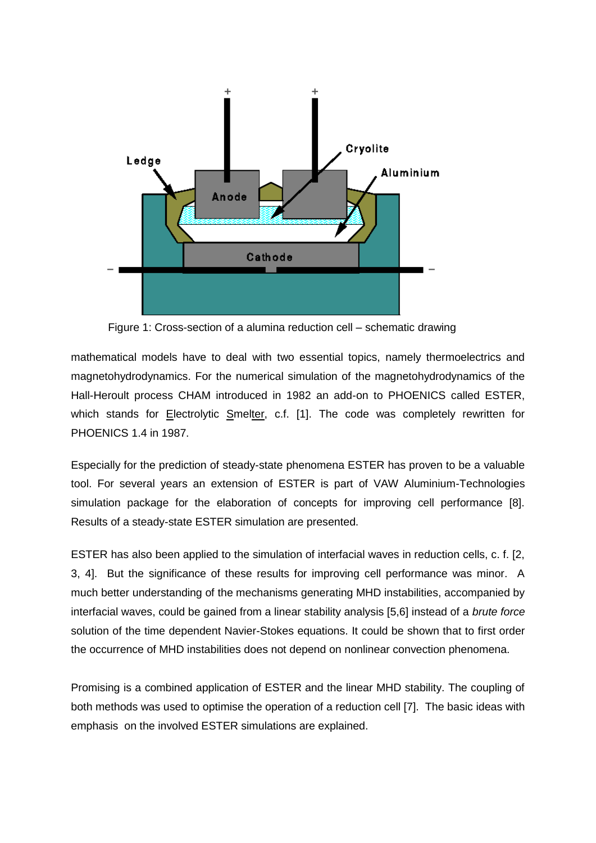

Figure 1: Cross-section of a alumina reduction cell – schematic drawing

mathematical models have to deal with two essential topics, namely thermoelectrics and magnetohydrodynamics. For the numerical simulation of the magnetohydrodynamics of the Hall-Heroult process CHAM introduced in 1982 an add-on to PHOENICS called ESTER, which stands for Electrolytic Smelter, c.f. [1]. The code was completely rewritten for PHOENICS 1.4 in 1987.

Especially for the prediction of steady-state phenomena ESTER has proven to be a valuable tool. For several years an extension of ESTER is part of VAW Aluminium-Technologies simulation package for the elaboration of concepts for improving cell performance [8]. Results of a steady-state ESTER simulation are presented.

ESTER has also been applied to the simulation of interfacial waves in reduction cells, c. f. [2, 3, 4]. But the significance of these results for improving cell performance was minor. A much better understanding of the mechanisms generating MHD instabilities, accompanied by interfacial waves, could be gained from a linear stability analysis [5,6] instead of a *brute force* solution of the time dependent Navier-Stokes equations. It could be shown that to first order the occurrence of MHD instabilities does not depend on nonlinear convection phenomena.

Promising is a combined application of ESTER and the linear MHD stability. The coupling of both methods was used to optimise the operation of a reduction cell [7]. The basic ideas with emphasis on the involved ESTER simulations are explained.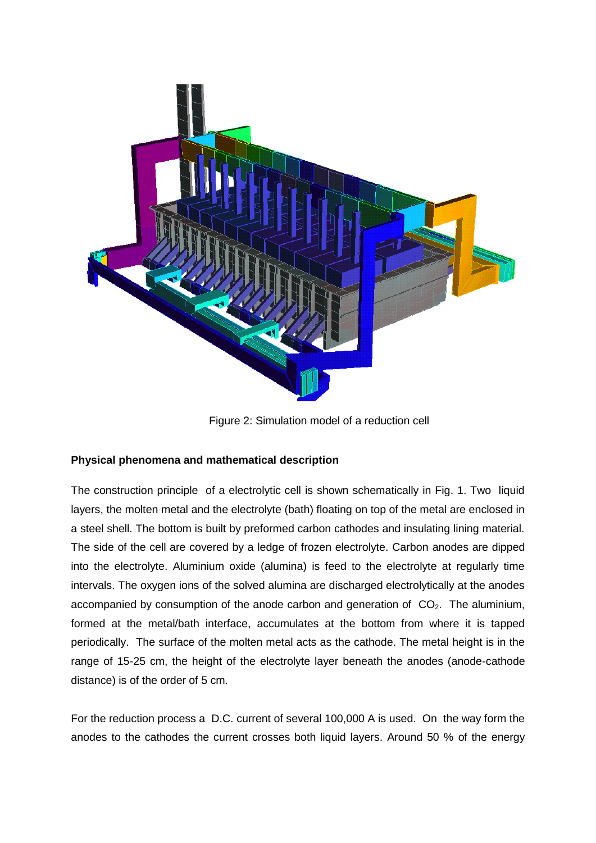

Figure 2: Simulation model of a reduction cell

# **Physical phenomena and mathematical description**

The construction principle of a electrolytic cell is shown schematically in Fig. 1. Two liquid layers, the molten metal and the electrolyte (bath) floating on top of the metal are enclosed in a steel shell. The bottom is built by preformed carbon cathodes and insulating lining material. The side of the cell are covered by a ledge of frozen electrolyte. Carbon anodes are dipped into the electrolyte. Aluminium oxide (alumina) is feed to the electrolyte at regularly time intervals. The oxygen ions of the solved alumina are discharged electrolytically at the anodes accompanied by consumption of the anode carbon and generation of  $CO<sub>2</sub>$ . The aluminium, formed at the metal/bath interface, accumulates at the bottom from where it is tapped periodically. The surface of the molten metal acts as the cathode. The metal height is in the range of 15-25 cm, the height of the electrolyte layer beneath the anodes (anode-cathode distance) is of the order of 5 cm.

For the reduction process a D.C. current of several 100,000 A is used. On the way form the anodes to the cathodes the current crosses both liquid layers. Around 50 % of the energy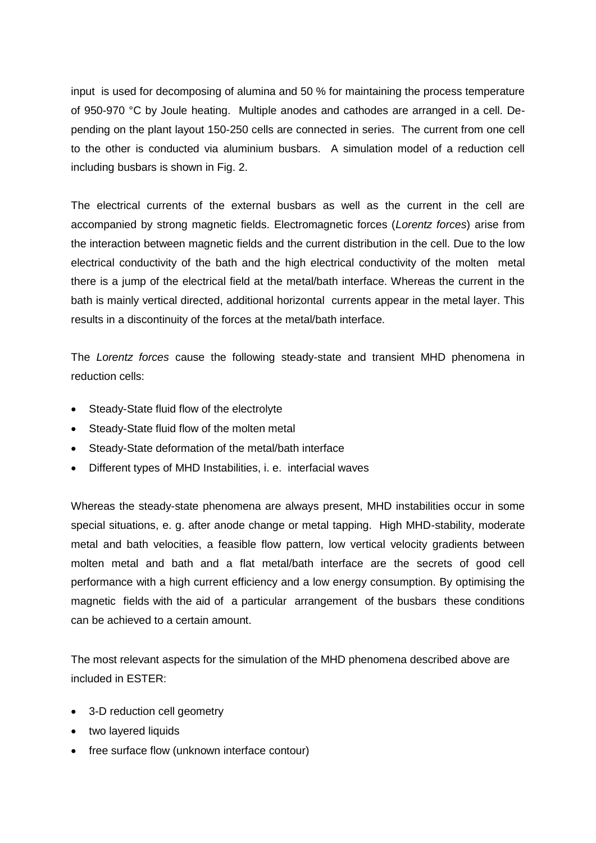input is used for decomposing of alumina and 50 % for maintaining the process temperature of 950-970 °C by Joule heating. Multiple anodes and cathodes are arranged in a cell. Depending on the plant layout 150-250 cells are connected in series. The current from one cell to the other is conducted via aluminium busbars. A simulation model of a reduction cell including busbars is shown in Fig. 2.

The electrical currents of the external busbars as well as the current in the cell are accompanied by strong magnetic fields. Electromagnetic forces (*Lorentz forces*) arise from the interaction between magnetic fields and the current distribution in the cell. Due to the low electrical conductivity of the bath and the high electrical conductivity of the molten metal there is a jump of the electrical field at the metal/bath interface. Whereas the current in the bath is mainly vertical directed, additional horizontal currents appear in the metal layer. This results in a discontinuity of the forces at the metal/bath interface.

The *Lorentz forces* cause the following steady-state and transient MHD phenomena in reduction cells:

- Steady-State fluid flow of the electrolyte
- Steady-State fluid flow of the molten metal
- Steady-State deformation of the metal/bath interface
- Different types of MHD Instabilities, i. e. interfacial waves

Whereas the steady-state phenomena are always present, MHD instabilities occur in some special situations, e. g. after anode change or metal tapping. High MHD-stability, moderate metal and bath velocities, a feasible flow pattern, low vertical velocity gradients between molten metal and bath and a flat metal/bath interface are the secrets of good cell performance with a high current efficiency and a low energy consumption. By optimising the magnetic fields with the aid of a particular arrangement of the busbars these conditions can be achieved to a certain amount.

The most relevant aspects for the simulation of the MHD phenomena described above are included in ESTER:

- 3-D reduction cell geometry
- two layered liquids
- free surface flow (unknown interface contour)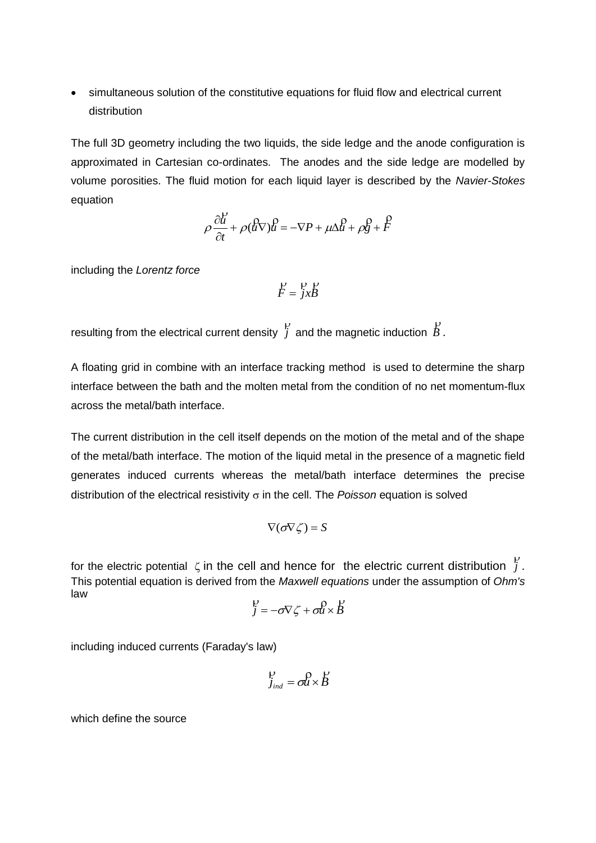simultaneous solution of the constitutive equations for fluid flow and electrical current distribution

The full 3D geometry including the two liquids, the side ledge and the anode configuration is approximated in Cartesian co-ordinates. The anodes and the side ledge are modelled by volume porosities. The fluid motion for each liquid layer is described by the *Navier-Stokes* equation

$$
\rho \frac{\partial u}{\partial t} + \rho (uv)u = -\nabla P + \mu \Delta u + \rho g + F
$$

including the *Lorentz force*

$$
\mathring{F} = \mathring{j}x\mathring{B}
$$

resulting from the electrical current density *j*  $\mathsf{p}$ and the magnetic induction *B*  $\mathsf{p}$ .

A floating grid in combine with an interface tracking method is used to determine the sharp interface between the bath and the molten metal from the condition of no net momentum-flux across the metal/bath interface.

The current distribution in the cell itself depends on the motion of the metal and of the shape of the metal/bath interface. The motion of the liquid metal in the presence of a magnetic field generates induced currents whereas the metal/bath interface determines the precise distribution of the electrical resistivity  $\sigma$  in the cell. The *Poisson* equation is solved

$$
\nabla(\sigma\nabla\zeta)=S
$$

for the electric potential  $\zeta$  in the cell and hence for the electric current distribution  $\int$  $\mathsf{p}$ . This potential equation is derived from the *Maxwell equations* under the assumption of *Ohm's* law  $\ddot{\mathbf{p}}$   $\mathbf{p}$   $\mathbf{p}$   $\mathbf{p}$ 

$$
\mathop{\mathcal{F}}_{j} = -\sigma \nabla \mathop{\mathcal{F}}_{j} + \sigma \mathop{\mathcal{U}}_{k} \times \mathop{\mathcal{B}}_{j}
$$

including induced currents (Faraday's law)

$$
\mathop{!}P_{j_{ind}} = \mathop{\sigma \hspace{-0.00em}l \hspace{-0.05em}l} \nolimits^O \times B
$$

which define the source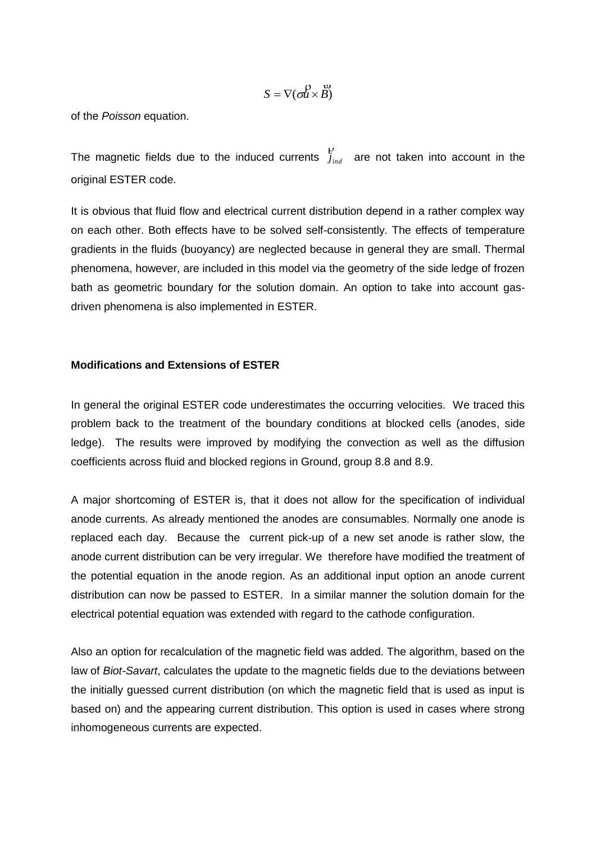$$
S = \nabla(\partial u \times \overset{\omega}{B})
$$

of the *Poisson* equation.

The magnetic fields due to the induced currents  $j_{_{ind}}$  $\mathsf{P}$ are not taken into account in the original ESTER code.

It is obvious that fluid flow and electrical current distribution depend in a rather complex way on each other. Both effects have to be solved self-consistently. The effects of temperature gradients in the fluids (buoyancy) are neglected because in general they are small. Thermal phenomena, however, are included in this model via the geometry of the side ledge of frozen bath as geometric boundary for the solution domain. An option to take into account gasdriven phenomena is also implemented in ESTER.

### **Modifications and Extensions of ESTER**

In general the original ESTER code underestimates the occurring velocities. We traced this problem back to the treatment of the boundary conditions at blocked cells (anodes, side ledge). The results were improved by modifying the convection as well as the diffusion coefficients across fluid and blocked regions in Ground, group 8.8 and 8.9.

A major shortcoming of ESTER is, that it does not allow for the specification of individual anode currents. As already mentioned the anodes are consumables. Normally one anode is replaced each day. Because the current pick-up of a new set anode is rather slow, the anode current distribution can be very irregular. We therefore have modified the treatment of the potential equation in the anode region. As an additional input option an anode current distribution can now be passed to ESTER. In a similar manner the solution domain for the electrical potential equation was extended with regard to the cathode configuration.

Also an option for recalculation of the magnetic field was added. The algorithm, based on the law of *Biot-Savart*, calculates the update to the magnetic fields due to the deviations between the initially guessed current distribution (on which the magnetic field that is used as input is based on) and the appearing current distribution. This option is used in cases where strong inhomogeneous currents are expected.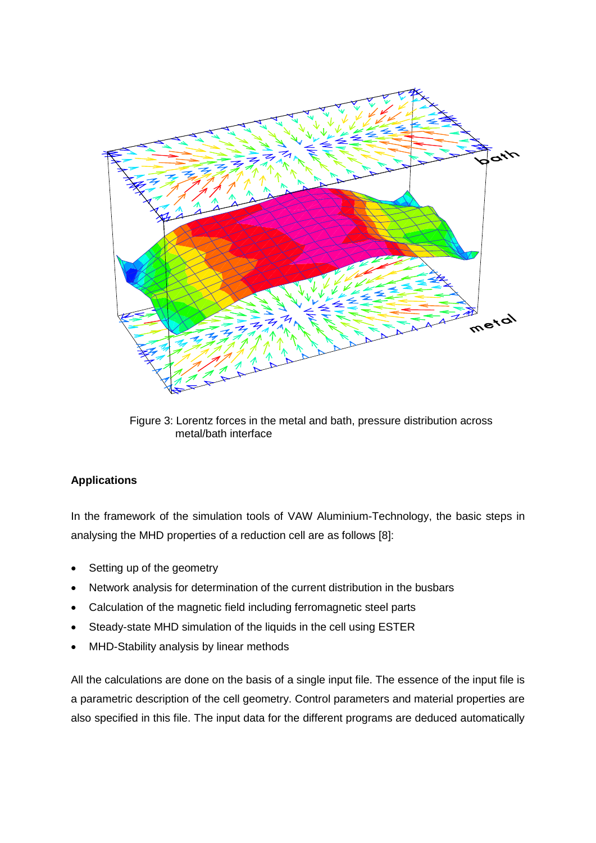

Figure 3: Lorentz forces in the metal and bath, pressure distribution across metal/bath interface

# **Applications**

In the framework of the simulation tools of VAW Aluminium-Technology, the basic steps in analysing the MHD properties of a reduction cell are as follows [8]:

- Setting up of the geometry
- Network analysis for determination of the current distribution in the busbars
- Calculation of the magnetic field including ferromagnetic steel parts
- Steady-state MHD simulation of the liquids in the cell using ESTER
- MHD-Stability analysis by linear methods

All the calculations are done on the basis of a single input file. The essence of the input file is a parametric description of the cell geometry. Control parameters and material properties are also specified in this file. The input data for the different programs are deduced automatically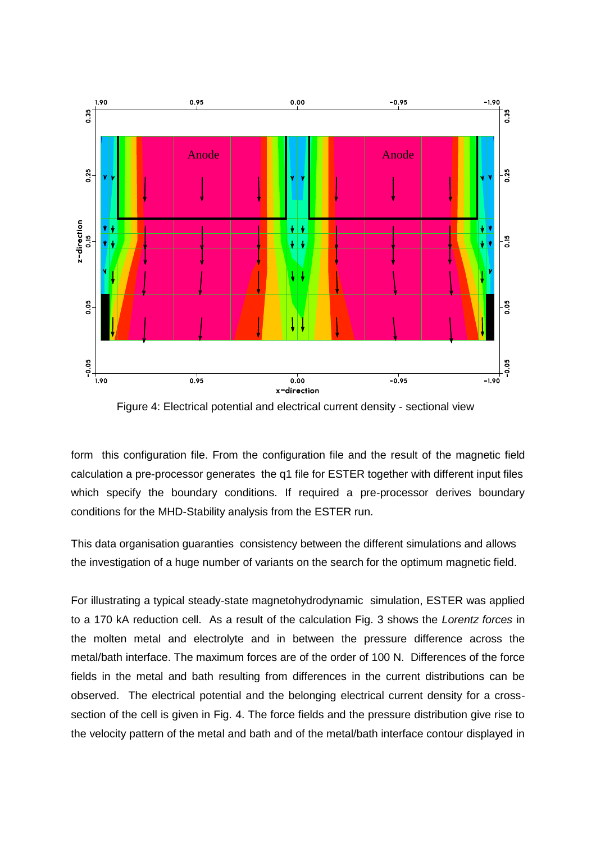

Figure 4: Electrical potential and electrical current density - sectional view

form this configuration file. From the configuration file and the result of the magnetic field calculation a pre-processor generates the q1 file for ESTER together with different input files which specify the boundary conditions. If required a pre-processor derives boundary conditions for the MHD-Stability analysis from the ESTER run.

This data organisation guaranties consistency between the different simulations and allows the investigation of a huge number of variants on the search for the optimum magnetic field.

For illustrating a typical steady-state magnetohydrodynamic simulation, ESTER was applied to a 170 kA reduction cell. As a result of the calculation Fig. 3 shows the *Lorentz forces* in the molten metal and electrolyte and in between the pressure difference across the metal/bath interface. The maximum forces are of the order of 100 N. Differences of the force fields in the metal and bath resulting from differences in the current distributions can be observed. The electrical potential and the belonging electrical current density for a crosssection of the cell is given in Fig. 4. The force fields and the pressure distribution give rise to the velocity pattern of the metal and bath and of the metal/bath interface contour displayed in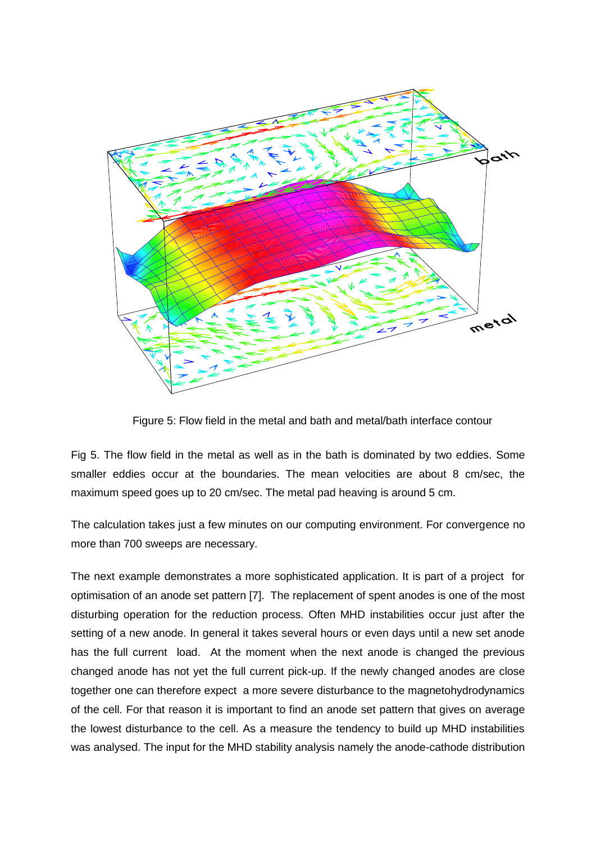

Figure 5: Flow field in the metal and bath and metal/bath interface contour

Fig 5. The flow field in the metal as well as in the bath is dominated by two eddies. Some smaller eddies occur at the boundaries. The mean velocities are about 8 cm/sec, the maximum speed goes up to 20 cm/sec. The metal pad heaving is around 5 cm.

The calculation takes just a few minutes on our computing environment. For convergence no more than 700 sweeps are necessary.

The next example demonstrates a more sophisticated application. It is part of a project for optimisation of an anode set pattern [7]. The replacement of spent anodes is one of the most disturbing operation for the reduction process. Often MHD instabilities occur just after the setting of a new anode. In general it takes several hours or even days until a new set anode has the full current load. At the moment when the next anode is changed the previous changed anode has not yet the full current pick-up. If the newly changed anodes are close together one can therefore expect a more severe disturbance to the magnetohydrodynamics of the cell. For that reason it is important to find an anode set pattern that gives on average the lowest disturbance to the cell. As a measure the tendency to build up MHD instabilities was analysed. The input for the MHD stability analysis namely the anode-cathode distribution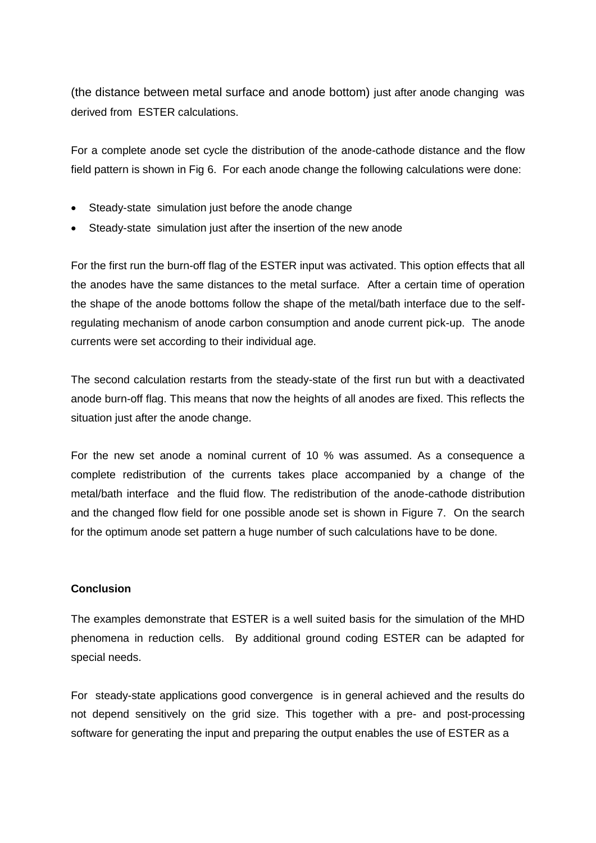(the distance between metal surface and anode bottom) just after anode changing was derived from ESTER calculations.

For a complete anode set cycle the distribution of the anode-cathode distance and the flow field pattern is shown in Fig 6. For each anode change the following calculations were done:

- Steady-state simulation just before the anode change
- Steady-state simulation just after the insertion of the new anode

For the first run the burn-off flag of the ESTER input was activated. This option effects that all the anodes have the same distances to the metal surface. After a certain time of operation the shape of the anode bottoms follow the shape of the metal/bath interface due to the selfregulating mechanism of anode carbon consumption and anode current pick-up. The anode currents were set according to their individual age.

The second calculation restarts from the steady-state of the first run but with a deactivated anode burn-off flag. This means that now the heights of all anodes are fixed. This reflects the situation just after the anode change.

For the new set anode a nominal current of 10 % was assumed. As a consequence a complete redistribution of the currents takes place accompanied by a change of the metal/bath interface and the fluid flow. The redistribution of the anode-cathode distribution and the changed flow field for one possible anode set is shown in Figure 7. On the search for the optimum anode set pattern a huge number of such calculations have to be done.

## **Conclusion**

The examples demonstrate that ESTER is a well suited basis for the simulation of the MHD phenomena in reduction cells. By additional ground coding ESTER can be adapted for special needs.

For steady-state applications good convergence is in general achieved and the results do not depend sensitively on the grid size. This together with a pre- and post-processing software for generating the input and preparing the output enables the use of ESTER as a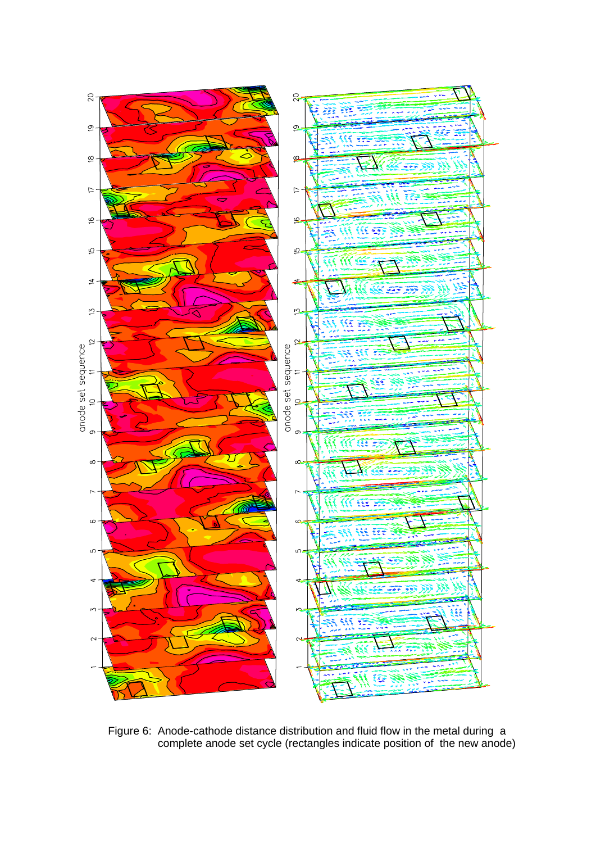

Figure 6: Anode-cathode distance distribution and fluid flow in the metal during a complete anode set cycle (rectangles indicate position of the new anode)